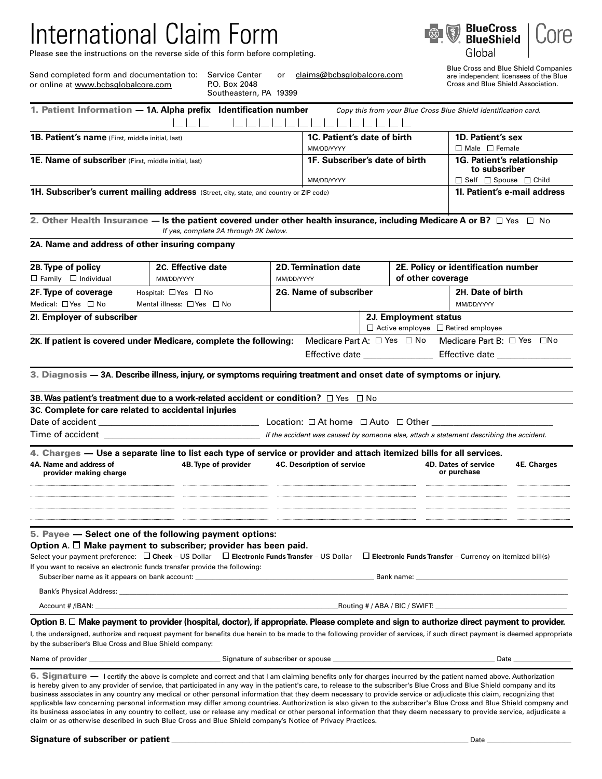# International Claim Form

Please see the instructions on the reverse side of this form before completing.



Global

| Send completed form and documentation to: Service Center |                    | claims@bcbsglobalcore.com |
|----------------------------------------------------------|--------------------|---------------------------|
| or online at www.bcbsglobalcore.com                      | P.O. Box 2048      |                           |
|                                                          | Couthered DA 10200 |                           |

P.O. Box 2048 Southeastern, PA 19399

Blue Cross and Blue Shield Companies are independent licensees of the Blue Cross and Blue Shield Association.

|                                                                                                                                                                                                    | 1. Patient Information - 1A. Alpha prefix Identification number                                                                                                                                                                                                                                                                             |            |                                           |  |                                                                        | Copy this from your Blue Cross Blue Shield identification card.             |                                                |  |  |
|----------------------------------------------------------------------------------------------------------------------------------------------------------------------------------------------------|---------------------------------------------------------------------------------------------------------------------------------------------------------------------------------------------------------------------------------------------------------------------------------------------------------------------------------------------|------------|-------------------------------------------|--|------------------------------------------------------------------------|-----------------------------------------------------------------------------|------------------------------------------------|--|--|
| 1B. Patient's name (First, middle initial, last)                                                                                                                                                   |                                                                                                                                                                                                                                                                                                                                             |            | 1C. Patient's date of birth<br>MM/DD/YYYY |  |                                                                        |                                                                             | 1D. Patient's sex<br>$\Box$ Male $\Box$ Female |  |  |
| 1E. Name of subscriber (First, middle initial, last)                                                                                                                                               |                                                                                                                                                                                                                                                                                                                                             |            | 1F. Subscriber's date of birth            |  |                                                                        | 1G. Patient's relationship<br>to subscriber                                 |                                                |  |  |
| 1H. Subscriber's current mailing address (Street, city, state, and country or ZIP code)                                                                                                            | MM/DD/YYYY                                                                                                                                                                                                                                                                                                                                  |            |                                           |  | $\Box$ Self $\Box$ Spouse $\Box$ Child<br>11. Patient's e-mail address |                                                                             |                                                |  |  |
|                                                                                                                                                                                                    | 2. Other Health Insurance — Is the patient covered under other health insurance, including Medicare A or B? $\Box$ Yes $\Box$ No<br>If yes, complete 2A through 2K below.                                                                                                                                                                   |            |                                           |  |                                                                        |                                                                             |                                                |  |  |
| 2A. Name and address of other insuring company                                                                                                                                                     |                                                                                                                                                                                                                                                                                                                                             |            |                                           |  |                                                                        |                                                                             |                                                |  |  |
| 2B. Type of policy<br>$\Box$ Family $\Box$ Individual                                                                                                                                              | 2C. Effective date<br>MM/DD/YYYY                                                                                                                                                                                                                                                                                                            | MM/DD/YYYY | <b>2D. Termination date</b>               |  |                                                                        | 2E. Policy or identification number<br>of other coverage                    |                                                |  |  |
| 2F. Type of coverage                                                                                                                                                                               | Hospital: $\Box$ Yes $\Box$ No                                                                                                                                                                                                                                                                                                              |            | 2G. Name of subscriber                    |  |                                                                        |                                                                             | 2H. Date of birth                              |  |  |
| Medical: $\Box$ Yes $\Box$ No                                                                                                                                                                      | Mental illness: $\Box$ Yes $\Box$ No                                                                                                                                                                                                                                                                                                        |            |                                           |  |                                                                        | MM/DD/YYYY                                                                  |                                                |  |  |
| 21. Employer of subscriber                                                                                                                                                                         |                                                                                                                                                                                                                                                                                                                                             |            |                                           |  | 2J. Employment status                                                  | $\Box$ Active employee $\Box$ Retired employee                              |                                                |  |  |
|                                                                                                                                                                                                    | 2K. If patient is covered under Medicare, complete the following:                                                                                                                                                                                                                                                                           |            |                                           |  |                                                                        | Medicare Part A: $\Box$ Yes $\Box$ No Medicare Part B: $\Box$ Yes $\Box$ No |                                                |  |  |
|                                                                                                                                                                                                    | 3. Diagnosis - 3A. Describe illness, injury, or symptoms requiring treatment and onset date of symptoms or injury.                                                                                                                                                                                                                          |            |                                           |  |                                                                        |                                                                             |                                                |  |  |
|                                                                                                                                                                                                    | 3B. Was patient's treatment due to a work-related accident or condition? $\square$ Yes $\square$ No                                                                                                                                                                                                                                         |            |                                           |  |                                                                        |                                                                             |                                                |  |  |
| 3C. Complete for care related to accidental injuries                                                                                                                                               |                                                                                                                                                                                                                                                                                                                                             |            |                                           |  |                                                                        |                                                                             |                                                |  |  |
|                                                                                                                                                                                                    |                                                                                                                                                                                                                                                                                                                                             |            |                                           |  |                                                                        |                                                                             |                                                |  |  |
|                                                                                                                                                                                                    |                                                                                                                                                                                                                                                                                                                                             |            |                                           |  |                                                                        |                                                                             |                                                |  |  |
| 4. Charges — Use a separate line to list each type of service or provider and attach itemized bills for all services.<br>4A. Name and address of<br>4B. Type of provider<br>provider making charge |                                                                                                                                                                                                                                                                                                                                             |            | 4C. Description of service                |  |                                                                        | <b>4D. Dates of service</b><br>or purchase                                  | 4E. Charges                                    |  |  |
|                                                                                                                                                                                                    |                                                                                                                                                                                                                                                                                                                                             |            |                                           |  |                                                                        |                                                                             |                                                |  |  |
| If you want to receive an electronic funds transfer provide the following:                                                                                                                         | 5. Payee - Select one of the following payment options:<br>Option A. $\Box$ Make payment to subscriber; provider has been paid.<br>Select your payment preference: $\Box$ Check – US Dollar $\Box$ Electronic Funds Transfer – US Dollar                                                                                                    |            |                                           |  |                                                                        | $\Box$ Electronic Funds Transfer – Currency on itemized bill(s)             |                                                |  |  |
|                                                                                                                                                                                                    |                                                                                                                                                                                                                                                                                                                                             |            |                                           |  |                                                                        |                                                                             |                                                |  |  |
|                                                                                                                                                                                                    |                                                                                                                                                                                                                                                                                                                                             |            |                                           |  |                                                                        |                                                                             |                                                |  |  |
|                                                                                                                                                                                                    | Option B. $\Box$ Make payment to provider (hospital, doctor), if appropriate. Please complete and sign to authorize direct payment to provider.                                                                                                                                                                                             |            |                                           |  |                                                                        |                                                                             |                                                |  |  |
| by the subscriber's Blue Cross and Blue Shield company:                                                                                                                                            | I, the undersigned, authorize and request payment for benefits due herein to be made to the following provider of services, if such direct payment is deemed appropriate                                                                                                                                                                    |            |                                           |  |                                                                        |                                                                             |                                                |  |  |
| Name of provider example and the set of subscriber of subscriber or spouse example and the set of subscriber or spouse                                                                             |                                                                                                                                                                                                                                                                                                                                             |            |                                           |  | <b>Date Date</b>                                                       |                                                                             |                                                |  |  |
| business associates in any country any medical or other personal information that they deem necessary to provide service or adjudicate this claim, recognizing that                                | 6. Signature — I certify the above is complete and correct and that I am claiming benefits only for charges incurred by the patient named above. Authorization<br>is hereby given to any provider of service, that participated in any way in the patient's care, to release to the subscriber's Blue Cross and Blue Shield company and its |            |                                           |  |                                                                        |                                                                             |                                                |  |  |

business associates in any country any medical or other personal information that they deem necessary to provide service or adjudicate this claim, recognizing that applicable law concerning personal information may differ among countries. Authorization is also given to the subscriber's Blue Cross and Blue Shield company and its business associates in any country to collect, use or release any medical or other personal information that they deem necessary to provide service, adjudicate a claim or as otherwise described in such Blue Cross and Blue Shield company's Notice of Privacy Practices.